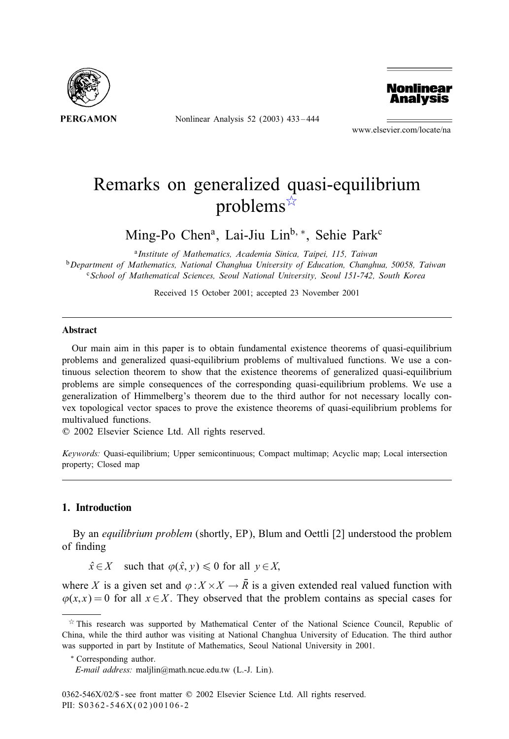

Nonlinear Analysis 52 (2003) 433 – 444



www.elsevier.com/locate/na

# Remarks on generalized quasi-equilibrium problems $\vec{x}$

Ming-Po Chen<sup>a</sup>, Lai-Jiu Lin<sup>b,</sup> \*, Sehie Park<sup>c</sup>

<sup>a</sup>*Institute of Mathematics, Academia Sinica, Taipei, 115, Taiwan* <sup>b</sup>*Department of Mathematics, National Changhua Universityof Education, Changhua, 50058, Taiwan* <sup>c</sup>*School of Mathematical Sciences, Seoul National University, Seoul 151-742, South Korea*

Received 15 October 2001; accepted 23 November 2001

#### Abstract

Our main aim in this paper is to obtain fundamental existence theorems of quasi-equilibrium problems and generalized quasi-equilibrium problems of multivalued functions. We use a continuous selection theorem to show that the existence theorems of generalized quasi-equilibrium problems are simple consequences of the corresponding quasi-equilibrium problems. We use a generalization of Himmelberg's theorem due to the third author for not necessary locally convex topological vector spaces to prove the existence theorems of quasi-equilibrium problems for multivalued functions.

? 2002 Elsevier Science Ltd. All rights reserved.

*Keywords:* Quasi-equilibrium; Upper semicontinuous; Compact multimap; Acyclic map; Local intersection property; Closed map

# 1. Introduction

By an *equilibrium problem* (shortly, EP), Blum and Oettli [2] understood the problem of finding

 $\hat{x} \in X$  such that  $\varphi(\hat{x}, y) \leq 0$  for all  $y \in X$ ;

where X is a given set and  $\varphi: X \times X \to \overline{R}$  is a given extended real valued function with  $\varphi(x, x) = 0$  for all  $x \in X$ . They observed that the problem contains as special cases for

This research was supported by Mathematical Center of the National Science Council, Republic of China, while the third author was visiting at National Changhua University of Education. The third author was supported in part by Institute of Mathematics, Seoul National University in 2001.

<sup>∗</sup> Corresponding author.

*E-mail address:* maljlin@math.ncue.edu.tw (L.-J. Lin).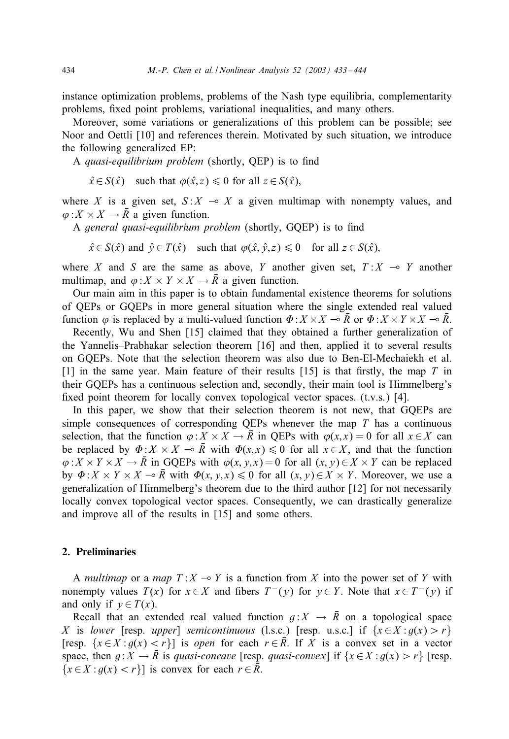instance optimization problems, problems of the Nash type equilibria, complementarity problems, fixed point problems, variational inequalities, and many others.

Moreover, some variations or generalizations of this problem can be possible; see Noor and Oettli [10] and references therein. Motivated by such situation, we introduce the following generalized EP:

A *quasi-equilibrium problem* (shortly, QEP) is to find

 $\hat{x} \in S(\hat{x})$  such that  $\varphi(\hat{x}, z) \leq 0$  for all  $z \in S(\hat{x})$ ,

where X is a given set,  $S: X \to X$  a given multimap with nonempty values, and  $\varphi: X \times X \to \overline{R}$  a given function.

A *general quasi-equilibrium problem* (shortly, GQEP) is to find

 $\hat{x} \in S(\hat{x})$  and  $\hat{y} \in T(\hat{x})$  such that  $\varphi(\hat{x}, \hat{y}, z) \leq 0$  for all  $z \in S(\hat{x})$ ,

where X and S are the same as above, Y another given set,  $T : X \multimap Y$  another multimap, and  $\varphi: X \times Y \times X \to \overline{R}$  a given function.

Our main aim in this paper is to obtain fundamental existence theorems for solutions of QEPs or GQEPs in more general situation where the single extended real valued function  $\varphi$  is replaced by a multi-valued function  $\Phi: X \times X \to \overline{R}$  or  $\Phi: X \times Y \times X \to \overline{R}$ .

Recently, Wu and Shen [15] claimed that they obtained a further generalization of the Yannelis–Prabhakar selection theorem [16] and then, applied it to several results on GQEPs. Note that the selection theorem was also due to Ben-El-Mechaiekh et al. [1] in the same year. Main feature of their results [15] is that firstly, the map  $T$  in their GQEPs has a continuous selection and, secondly, their main tool is Himmelberg's fixed point theorem for locally convex topological vector spaces.  $(t.v.s.)$  [4].

In this paper, we show that their selection theorem is not new, that GQEPs are simple consequences of corresponding QEPs whenever the map  $T$  has a continuous selection, that the function  $\varphi: X \times X \to \overline{R}$  in QEPs with  $\varphi(x, x) = 0$  for all  $x \in X$  can be replaced by  $\Phi: X \times X \to \overline{R}$  with  $\Phi(x, x) \leq 0$  for all  $x \in X$ , and that the function  $\varphi: X \times Y \times X \to \overline{R}$  in GQEPs with  $\varphi(x, y, x) = 0$  for all  $(x, y) \in X \times Y$  can be replaced by  $\Phi: X \times Y \times X \to \overline{R}$  with  $\Phi(x, y, x) \leq 0$  for all  $(x, y) \in X \times Y$ . Moreover, we use a generalization of Himmelberg's theorem due to the third author [12] for not necessarily locally convex topological vector spaces. Consequently, we can drastically generalize and improve all of the results in [15] and some others.

# 2. Preliminaries

A *multimap* or a *map*  $T: X \to Y$  is a function from X into the power set of Y with nonempty values  $T(x)$  for  $x \in X$  and fibers  $T^-(y)$  for  $y \in Y$ . Note that  $x \in T^-(y)$  if and only if  $y \in T(x)$ .

Recall that an extended real valued function  $q: X \to \overline{R}$  on a topological space X is *lower* [resp. *upper*] *semicontinuous* (l.s.c.) [resp. u.s.c.] if  $\{x \in X : g(x) > r\}$ [resp.  $\{x \in X : g(x) < r\}$ ] is *open* for each  $r \in \overline{R}$ . If X is a convex set in a vector space, then  $g: X \to \overline{R}$  is *quasi-concave* [resp. *quasi-convex*] if  $\{x \in X : g(x) > r\}$  [resp.  ${x \in X : g(x) < r}$  is convex for each  $r \in \overline{R}$ .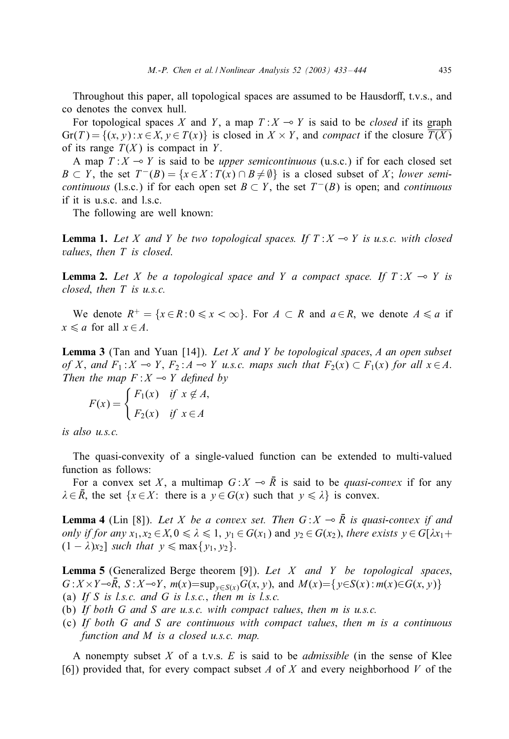Throughout this paper, all topological spaces are assumed to be Hausdorff, t.v.s., and co denotes the convex hull.

For topological spaces X and Y, a map  $T: X \to Y$  is said to be *closed* if its graph  $Gr(T) = \{(x, y) : x \in X, y \in T(x)\}\$ is closed in  $X \times Y$ , and *compact* if the closure  $\overline{T(X)}$ of its range  $T(X)$  is compact in Y.

A map  $T: X \to Y$  is said to be *upper semicontinuous* (u.s.c.) if for each closed set  $B \subset Y$ , the set  $T^{-}(B) = \{x \in X : T(x) \cap B \neq \emptyset\}$  is a closed subset of X; *lower semicontinuous* (l.s.c.) if for each open set  $B \subset Y$ , the set  $T^{-}(B)$  is open; and *continuous* if it is u.s.c. and l.s.c.

The following are well known:

**Lemma 1.** Let X and Y be two topological spaces. If  $T: X \rightarrow Y$  is u.s.c. with closed *values*; *then* T *is closed*.

**Lemma 2.** Let X be a topological space and Y a compact space. If  $T: X \to Y$  is *closed*; *then* T *is u.s.c.*

We denote  $R^+ = \{x \in R : 0 \le x < \infty\}$ . For  $A \subset R$  and  $a \in R$ , we denote  $A \le a$  if  $x \leq a$  for all  $x \in A$ .

Lemma 3 (Tan and Yuan [14]). *Let* X *and* Y *be topological spaces*; A *an open subset of* X, and  $F_1: X \to Y$ ,  $F_2: A \to Y$  *u.s.c. maps such that*  $F_2(x) \subset F_1(x)$  *for all*  $x \in A$ . *Then the map*  $F: X \rightarrow Y$  *defined by* 

$$
F(x) = \begin{cases} F_1(x) & \text{if } x \notin A, \\ F_2(x) & \text{if } x \in A \end{cases}
$$

*is also u.s.c.*

The quasi-convexity of a single-valued function can be extended to multi-valued function as follows:

For a convex set X, a multimap  $G: X \to \overline{R}$  is said to be *quasi-convex* if for any  $\lambda \in \overline{R}$ , the set  $\{x \in X: \text{ there is a } y \in G(x) \text{ such that } y \leq \lambda\}$  is convex.

**Lemma 4** (Lin [8]). Let *X* be a convex set. Then  $G: X \to \overline{R}$  is quasi-convex if and *only if for any*  $x_1, x_2 \in X, 0 \le \lambda \le 1$ ,  $y_1 \in G(x_1)$  and  $y_2 \in G(x_2)$ , *there exists*  $y \in G[\lambda x_1 + \lambda x_2]$  $(1 - \lambda)x_2$ ] *such that*  $y \le \max\{y_1, y_2\}$ .

Lemma 5 (Generalized Berge theorem [9]). *Let* X *and* Y *be topological spaces*;  $G: X \times Y \rightarrow \overline{R}$ ,  $S: X \rightarrow Y$ ,  $m(x) = \sup_{y \in S(x)} G(x, y)$ , and  $M(x) = \{y \in S(x) : m(x) \in G(x, y)\}$ (a) *If* S *is l.s.c. and* G *is l.s.c.*; *then* m *is l.s.c.*

- (b) *If both* G *and* S *are u.s.c. with compact values*; *then* m *is u.s.c.*
- (c) *If both* G *and* S *are continuous with compact values*; *then* m *is a continuous function and* M *is a closed u.s.c. map.*

A nonempty subset X of a t.v.s. E is said to be *admissible* (in the sense of Klee [6]) provided that, for every compact subset A of X and every neighborhood V of the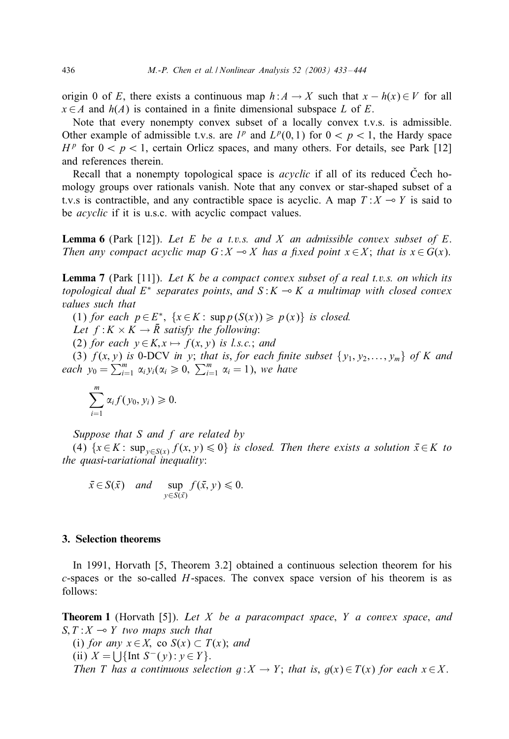origin 0 of E, there exists a continuous map  $h: A \to X$  such that  $x - h(x) \in V$  for all  $x \in A$  and  $h(A)$  is contained in a finite dimensional subspace L of E.

Note that every nonempty convex subset of a locally convex t.v.s. is admissible. Other example of admissible t.v.s. are  $l^p$  and  $L^p(0,1)$  for  $0 < p < 1$ , the Hardy space  $H<sup>p</sup>$  for  $0 < p < 1$ , certain Orlicz spaces, and many others. For details, see Park [12] and references therein.

Recall that a nonempty topological space is *acyclic* if all of its reduced Cech homology groups over rationals vanish. Note that any convex or star-shaped subset of a t.v.s is contractible, and any contractible space is acyclic. A map  $T : X \rightarrow Y$  is said to be *acyclic* if it is u.s.c. with acyclic compact values.

Lemma 6 (Park [12]). *Let* E *be a t.v.s. and* X *an admissible convex subset of* E. *Then any compact acyclic map*  $G: X \to X$  *has a fixed point*  $x \in X$ ; *that is*  $x \in G(x)$ .

Lemma 7 (Park [11]). *Let* K *be a compact convex subset of a real t.v.s. on which its topological dual*  $E^*$  *separates points, and*  $S: K \to K$  *a multimap with closed convex values such that*

(1) *for each*  $p \in E^*$ ,  $\{x \in K : \sup p(S(x)) \geq p(x)\}$  *is closed.* 

*Let*  $f: K \times K \rightarrow \overline{R}$  *satisfy the following*:

(2) *for each*  $y \in K$ ,  $x \mapsto f(x, y)$  *is l.s.c.*; *and* 

(3)  $f(x, y)$  *is* 0-DCV *in y*; *that is, for each finite subset*  $\{y_1, y_2, \ldots, y_m\}$  *of* K and *each*  $y_0 = \sum_{i=1}^m \alpha_i y_i (\alpha_i \geq 0, \sum_{i=1}^m \alpha_i = 1)$ , *we have* 

$$
\sum_{i=1}^m \alpha_i f(y_0, y_i) \geq 0.
$$

*Suppose that* S *and* f *are related by*

(4)  $\{x \in K : \sup_{y \in S(x)} f(x, y) \leq 0\}$  *is closed. Then there exists a solution*  $\bar{x} \in K$  *to the quasi-variational inequality*:

$$
\bar{x} \in S(\bar{x})
$$
 and  $\sup_{y \in S(\bar{x})} f(\bar{x}, y) \leq 0$ .

### 3. Selection theorems

In 1991, Horvath [5, Theorem 3.2] obtained a continuous selection theorem for his  $c$ -spaces or the so-called  $H$ -spaces. The convex space version of his theorem is as follows:

Theorem 1 (Horvath [5]). *Let* X *be a paracompact space*; Y *a convex space*; *and*  $S, T: X \rightarrow Y$  *two maps such that* 

(i) *for any*  $x \in X$ , co  $S(x) \subset T(x)$ ; *and* (ii)  $X = \bigcup \{ \text{Int } S^-(y) : y \in Y \}.$ *Then T* has a continuous selection  $g: X \to Y$ ; that is,  $g(x) \in T(x)$  for each  $x \in X$ .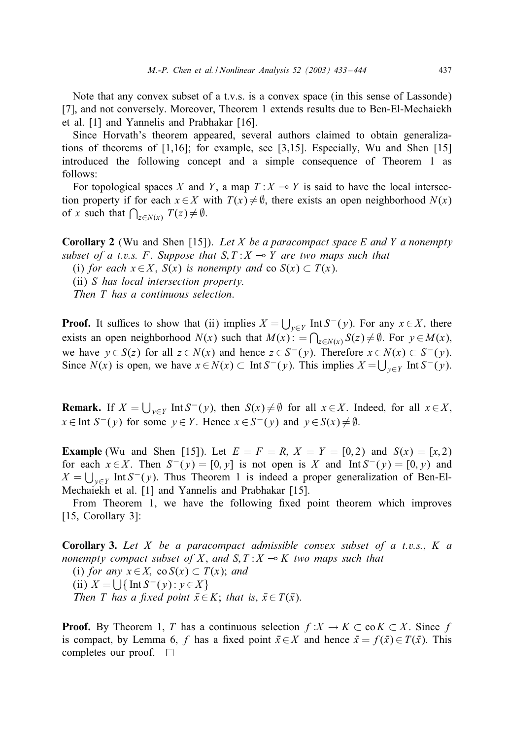Note that any convex subset of a t.v.s. is a convex space (in this sense of Lassonde) [7], and not conversely. Moreover, Theorem 1 extends results due to Ben-El-Mechaiekh et al. [1] and Yannelis and Prabhakar [16].

Since Horvath's theorem appeared, several authors claimed to obtain generalizations of theorems of [1,16]; for example, see [3,15]. Especially, Wu and Shen [15] introduced the following concept and a simple consequence of Theorem 1 as follows:

For topological spaces X and Y, a map  $T : X \rightarrow Y$  is said to have the local intersection property if for each  $x \in X$  with  $T(x) \neq \emptyset$ , there exists an open neighborhood  $N(x)$ of x such that  $\bigcap_{z \in N(x)} T(z) \neq \emptyset$ .

Corollary 2 (Wu and Shen [15]). *Let* X *be a paracompact space* E *and* Y *a nonempty subset of a t.v.s.* F. Suppose that  $S, T: X \rightarrow Y$  are two maps such that (i) *for each*  $x \in X$ ,  $S(x)$  *is nonempty and* co  $S(x) \subset T(x)$ .

(ii) S *has local intersection property.*

*Then* T *has a continuous selection*.

**Proof.** It suffices to show that (ii) implies  $X = \bigcup_{y \in Y} \text{Int } S^-(y)$ . For any  $x \in X$ , there exists an open neighborhood  $N(x)$  such that  $M(x)$ :  $= \bigcap_{z \in N(x)} S(z) \neq \emptyset$ . For  $y \in M(x)$ , we have  $y \in S(z)$  for all  $z \in N(x)$  and hence  $z \in S^{-}(y)$ . Therefore  $x \in N(x) \subset S^{-}(y)$ . Since  $N(x)$  is open, we have  $x \in N(x) \subset \text{Int } S^-(y)$ . This implies  $X = \bigcup_{y \in Y} \text{Int } S^-(y)$ .

**Remark.** If  $X = \bigcup_{y \in Y} \text{Int } S^-(y)$ , then  $S(x) \neq \emptyset$  for all  $x \in X$ . Indeed, for all  $x \in X$ ,  $x \in$ Int  $S^{-}(y)$  for some  $y \in Y$ . Hence  $x \in S^{-}(y)$  and  $y \in S(x) \neq \emptyset$ .

**Example** (Wu and Shen [15]). Let  $E = F = R$ ,  $X = Y = [0, 2)$  and  $S(x) = [x, 2)$ for each  $x \in X$ . Then  $S^{-}(y) = [0, y]$  is not open is X and Int  $S^{-}(y) = [0, y)$  and  $X = \bigcup_{y \in Y}$  Int  $S^-(y)$ . Thus Theorem 1 is indeed a proper generalization of Ben-El-Mechaiekh et al. [1] and Yannelis and Prabhakar [15].

From Theorem 1, we have the following fixed point theorem which improves [15, Corollary 3]:

Corollary 3. *Let* X *be a paracompact admissible convex subset of a t.v.s.*; K *a nonempty compact subset of* X, and  $S, T: X \rightarrow K$  *two maps such that* 

(i) *for any*  $x \in X$ , co  $S(x) \subset T(x)$ ; *and* (ii)  $X = \bigcup \{ \text{Int } S^-(y) : y \in X \}$ *Then T* has a fixed point  $\bar{x} \in K$ ; that is,  $\bar{x} \in T(\bar{x})$ .

**Proof.** By Theorem 1, T has a continuous selection  $f: X \to K \subset \text{co } K \subset X$ . Since f is compact, by Lemma 6, f has a fixed point  $\bar{x} \in X$  and hence  $\bar{x} = f(\bar{x}) \in T(\bar{x})$ . This completes our proof.  $\square$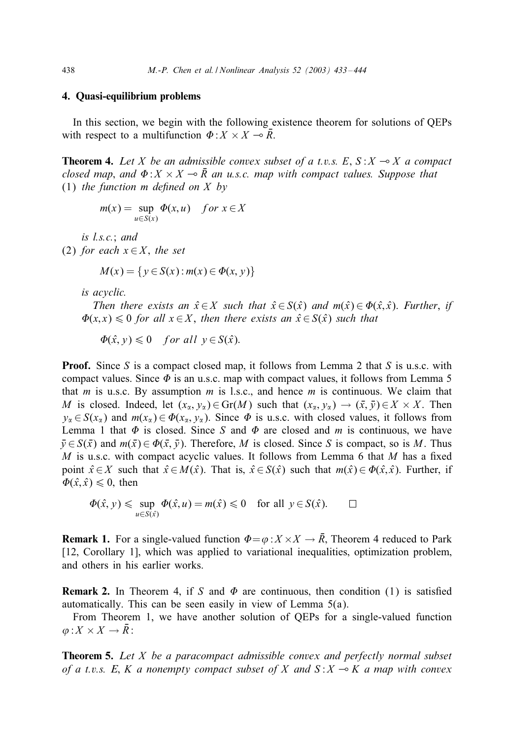# 4. Quasi-equilibrium problems

In this section, we begin with the following existence theorem for solutions of QEPs with respect to a multifunction  $\Phi: X \times X \to \overline{R}$ .

**Theorem 4.** Let *X* be an admissible convex subset of a t.v.s. E,  $S: X \rightarrow X$  a compact *closed map, and*  $\Phi$ :  $X \times X \rightarrow \overline{R}$  *an u.s.c. map with compact values. Suppose that* (1) *the function* m *de5ned on* X *by*

$$
m(x) = \sup_{u \in S(x)} \Phi(x, u) \quad \text{for } x \in X
$$

*is l.s.c.*; *and*

(2) *for each*  $x \in X$ *, the set* 

$$
M(x) = \{ y \in S(x) : m(x) \in \Phi(x, y) \}
$$

*is acyclic.*

*Then there exists an*  $\hat{x} \in X$  *such that*  $\hat{x} \in S(\hat{x})$  *and*  $m(\hat{x}) \in \Phi(\hat{x}, \hat{x})$ . *Further, if*  $\Phi(x, x) \leq 0$  *for all*  $x \in X$ , *then there exists an*  $\hat{x} \in S(\hat{x})$  *such that* 

$$
\Phi(\hat{x}, y) \leq 0 \quad \text{for all } y \in S(\hat{x}).
$$

**Proof.** Since S is a compact closed map, it follows from Lemma 2 that S is u.s.c. with compact values. Since  $\Phi$  is an u.s.c. map with compact values, it follows from Lemma 5 that  $m$  is u.s.c. By assumption  $m$  is l.s.c., and hence  $m$  is continuous. We claim that M is closed. Indeed, let  $(x_2, y_2) \in Gr(M)$  such that  $(x_2, y_2) \to (\bar{x}, \bar{y}) \in X \times X$ . Then  $y_{\alpha} \in S(x_{\alpha})$  and  $m(x_{\alpha}) \in \Phi(x_{\alpha}, y_{\alpha})$ . Since  $\Phi$  is u.s.c. with closed values, it follows from Lemma 1 that  $\Phi$  is closed. Since S and  $\Phi$  are closed and m is continuous, we have  $\bar{y} \in S(\bar{x})$  and  $m(\bar{x}) \in \Phi(\bar{x}, \bar{y})$ . Therefore, M is closed. Since S is compact, so is M. Thus M is u.s.c. with compact acyclic values. It follows from Lemma 6 that  $M$  has a fixed point  $\hat{x} \in X$  such that  $\hat{x} \in M(\hat{x})$ . That is,  $\hat{x} \in S(\hat{x})$  such that  $m(\hat{x}) \in \Phi(\hat{x}, \hat{x})$ . Further, if  $\Phi(\hat{x}, \hat{x}) \leq 0$ , then

$$
\Phi(\hat{x}, y) \leq \sup_{u \in S(\hat{x})} \Phi(\hat{x}, u) = m(\hat{x}) \leq 0 \quad \text{for all } y \in S(\hat{x}). \qquad \Box
$$

**Remark 1.** For a single-valued function  $\Phi = \varphi: X \times X \to \overline{R}$ , Theorem 4 reduced to Park [12, Corollary 1], which was applied to variational inequalities, optimization problem, and others in his earlier works.

**Remark 2.** In Theorem 4, if S and  $\Phi$  are continuous, then condition (1) is satisfied automatically. This can be seen easily in view of Lemma 5(a).

From Theorem 1, we have another solution of QEPs for a single-valued function  $\varphi: X \times X \to \overline{R}$ :

**Theorem 5.** Let *X* be a paracompact admissible convex and perfectly normal subset *of a t.v.s.* E, K *a nonempty compact subset of* X *and*  $S: X \to K$  *a map with convex*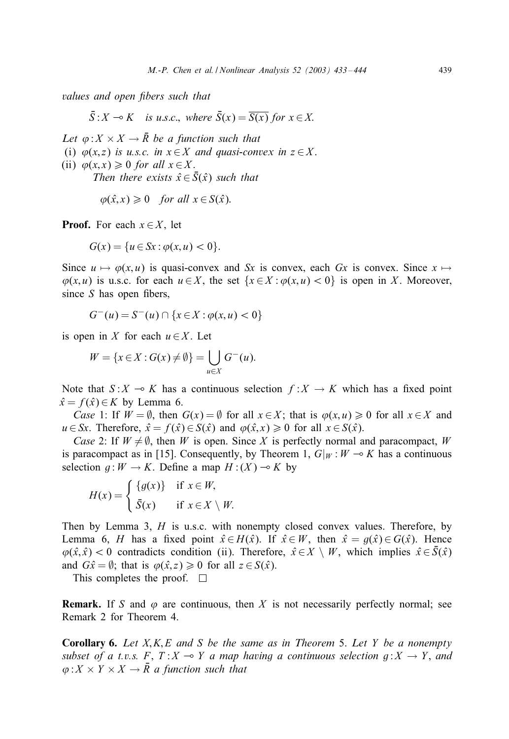*values and open fibers such that* 

 $\overline{S}: X \multimap K \text{ is u.s.c., where } \overline{S}(x) = \overline{S(x)} \text{ for } x \in X.$ 

*Let*  $\varphi: X \times X \to \overline{R}$  *be a function such that* (i)  $\varphi(x, z)$  *is u.s.c. in*  $x \in X$  *and quasi-convex in*  $z \in X$ . (ii)  $\varphi(x, x) \geq 0$  *for all*  $x \in X$ . *Then there exists*  $\hat{x} \in \overline{S}(\hat{x})$  *such that* 

$$
\varphi(\hat{x},x) \ge 0
$$
 for all  $x \in S(\hat{x})$ .

**Proof.** For each  $x \in X$ , let

$$
G(x) = \{u \in Sx : \varphi(x, u) < 0\}.
$$

Since  $u \mapsto \varphi(x, u)$  is quasi-convex and Sx is convex, each Gx is convex. Since  $x \mapsto$  $\varphi(x, u)$  is u.s.c. for each  $u \in X$ , the set  $\{x \in X : \varphi(x, u) < 0\}$  is open in X. Moreover, since  $S$  has open fibers,

$$
G^{-}(u) = S^{-}(u) \cap \{x \in X : \varphi(x, u) < 0\}
$$

is open in X for each  $u \in X$ . Let

$$
W = \{x \in X : G(x) \neq \emptyset\} = \bigcup_{u \in X} G^{-}(u).
$$

Note that  $S: X \to K$  has a continuous selection  $f : X \to K$  which has a fixed point  $\hat{x} = f(\hat{x}) \in K$  by Lemma 6.

*Case* 1: If  $W = \emptyset$ , then  $G(x) = \emptyset$  for all  $x \in X$ ; that is  $\varphi(x, u) \ge 0$  for all  $x \in X$  and  $u \in S_x$ . Therefore,  $\hat{x} = f(\hat{x}) \in S(\hat{x})$  and  $\varphi(\hat{x}, x) \ge 0$  for all  $x \in S(\hat{x})$ .

*Case* 2: If  $W \neq \emptyset$ , then W is open. Since X is perfectly normal and paracompact, W is paracompact as in [15]. Consequently, by Theorem 1,  $G|_W : W \rightarrow K$  has a continuous selection  $q : W \to K$ . Define a map  $H : (X) \to K$  by

$$
H(x) = \begin{cases} \{g(x)\} & \text{if } x \in W, \\ \bar{S}(x) & \text{if } x \in X \setminus W. \end{cases}
$$

Then by Lemma 3,  $H$  is u.s.c. with nonempty closed convex values. Therefore, by Lemma 6, H has a fixed point  $\hat{x} \in H(\hat{x})$ . If  $\hat{x} \in W$ , then  $\hat{x} = g(\hat{x}) \in G(\hat{x})$ . Hence  $\varphi(\hat{x}, \hat{x}) < 0$  contradicts condition (ii). Therefore,  $\hat{x} \in X \setminus W$ , which implies  $\hat{x} \in \overline{S}(\hat{x})$ and  $G\hat{x} = \emptyset$ ; that is  $\varphi(\hat{x}, z) \ge 0$  for all  $z \in S(\hat{x})$ .

This completes the proof.  $\square$ 

**Remark.** If S and  $\varphi$  are continuous, then X is not necessarily perfectly normal; see Remark 2 for Theorem 4.

Corollary 6. *Let* X; K; E *and* S *be the same as in Theorem* 5. *Let* Y *be a nonempty subset of a t.v.s.* F,  $T: X \rightarrow Y$  *a map having a continuous selection*  $g: X \rightarrow Y$ *, and*  $\varphi: X \times Y \times X \to \overline{R}$  *a function such that*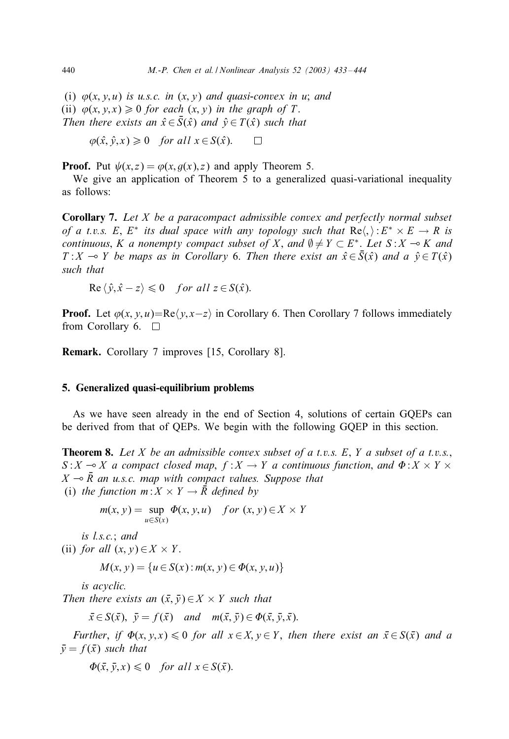(i)  $\varphi(x, y, u)$  *is u.s.c. in*  $(x, y)$  *and quasi-convex in u; and* (ii)  $\varphi(x, y, x) \ge 0$  *for each*  $(x, y)$  *in the graph of* T. *Then there exists an*  $\hat{x} \in \overline{S}(\hat{x})$  *and*  $\hat{y} \in T(\hat{x})$  *such that* 

$$
\varphi(\hat{x}, \hat{y}, x) \ge 0
$$
 for all  $x \in S(\hat{x})$ .  $\square$ 

**Proof.** Put  $\psi(x, z) = \varphi(x, g(x), z)$  and apply Theorem 5.

We give an application of Theorem 5 to a generalized quasi-variational inequality as follows:

Corollary 7. *Let* X *be a paracompact admissible convex and perfectlynormal subset of a t.v.s.* E,  $E^*$  *its dual space with any topology such that*  $Re\langle.\rangle: E^* \times E \to R$  *is continuous*, *K a nonempty compact subset of* X, and  $\emptyset \neq Y \subset E^*$ . Let  $S: X \to K$  and T: X  $\sim$  Y *be maps as in Corollary* 6. Then there exist an  $\hat{x} \in \overline{S}(\hat{x})$  and a  $\hat{y} \in T(\hat{x})$ *such that*

$$
\operatorname{Re}\left\langle \hat{y}, \hat{x} - z \right\rangle \leq 0 \quad \text{for all } z \in S(\hat{x}).
$$

**Proof.** Let  $\varphi(x, y, u) = \text{Re}\langle y, x-z \rangle$  in Corollary 6. Then Corollary 7 follows immediately from Corollary 6.  $\Box$ 

Remark. Corollary 7 improves [15, Corollary 8].

# 5. Generalized quasi-equilibrium problems

As we have seen already in the end of Section 4, solutions of certain GQEPs can be derived from that of QEPs. We begin with the following GQEP in this section.

Theorem 8. *Let* X *be an admissible convex subset of a t.v.s.* E; Y *a subset of a t.v.s.*;  $S: X \rightarrow X$  *a compact closed map*;  $f : X \rightarrow Y$  *a continuous function, and*  $\Phi: X \times Y \times Y$  $X \multimap \overline{R}$  an u.s.c. map with compact values. Suppose that (i) *the function*  $m: X \times Y \rightarrow \overline{R}$  *defined by* 

$$
m(x, y) = \sup_{u \in S(x)} \Phi(x, y, u) \quad \text{for } (x, y) \in X \times Y
$$

*is l.s.c.*; *and* (ii) *for all*  $(x, y) \in X \times Y$ .

$$
M(x, y) = \{u \in S(x) : m(x, y) \in \Phi(x, y, u)\}
$$

*is acyclic.*

*Then there exists an*  $(\bar{x}, \bar{y}) \in X \times Y$  *such that* 

 $\bar{x} \in S(\bar{x}), \ \bar{y} = f(\bar{x}) \text{ and } m(\bar{x}, \bar{y}) \in \Phi(\bar{x}, \bar{y}, \bar{x}).$ 

*Further*, *if*  $\Phi(x, y, x) \le 0$  *for all*  $x \in X, y \in Y$ , *then there exist an*  $\bar{x} \in S(\bar{x})$  *and a*  $\bar{v} = f(\bar{x})$  *such that* 

 $\Phi(\bar{x}, \bar{y}, x) \leq 0$  *for all*  $x \in S(\bar{x})$ .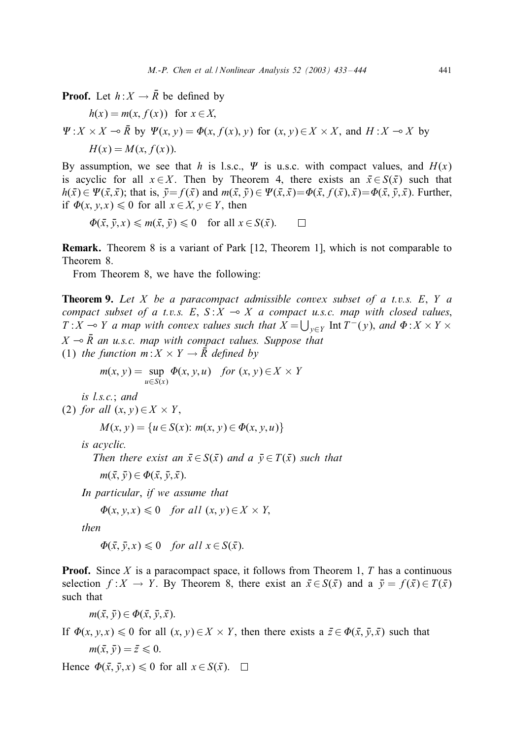**Proof.** Let  $h: X \to \overline{R}$  be defined by

$$
h(x) = m(x, f(x)) \text{ for } x \in X,
$$
  
\n
$$
\Psi: X \times X \to \overline{R} \text{ by } \Psi(x, y) = \Phi(x, f(x), y) \text{ for } (x, y) \in X \times X, \text{ and } H: X \to X \text{ by}
$$
  
\n
$$
H(x) = M(x, f(x)).
$$

By assumption, we see that h is l.s.c.,  $\Psi$  is u.s.c. with compact values, and  $H(x)$ is acyclic for all  $x \in X$ . Then by Theorem 4, there exists an  $\bar{x} \in S(\bar{x})$  such that  $h(\bar{x}) \in \Psi(\bar{x}, \bar{x});$  that is,  $\bar{y} = f(\bar{x})$  and  $m(\bar{x}, \bar{y}) \in \Psi(\bar{x}, \bar{x}) = \Phi(\bar{x}, f(\bar{x}), \bar{x}) = \Phi(\bar{x}, \bar{y}, \bar{x}).$  Further, if  $\Phi(x, y, x) \leq 0$  for all  $x \in X$ ,  $y \in Y$ , then

$$
\Phi(\bar{x}, \bar{y}, x) \leq m(\bar{x}, \bar{y}) \leq 0 \quad \text{for all } x \in S(\bar{x}). \qquad \Box
$$

Remark. Theorem 8 is a variant of Park [12; Theorem 1]; which is not comparable to Theorem 8.

From Theorem 8, we have the following:

Theorem 9. *Let* X *be a paracompact admissible convex subset of a t.v.s.* E; Y *a compact subset of a t.v.s.* E,  $S: X \rightarrow X$  *a compact u.s.c. map with closed values*,  $T: X \multimap Y$  *a map with convex values such that*  $X = \bigcup_{y \in Y}$  Int  $T^-(y)$ *, and*  $\Phi: X \times Y \times Y$  $X \rightarrow \overline{R}$  an u.s.c. map with compact values. Suppose that (1) *the function*  $m: X \times Y \rightarrow \overline{R}$  *defined by* 

$$
m(x, y) = \sup_{u \in S(x)} \Phi(x, y, u) \quad \text{for } (x, y) \in X \times Y
$$

*is l.s.c.*; *and*

(2) for all 
$$
(x, y) \in X \times Y
$$
,

 $M(x, y) = \{u \in S(x): m(x, y) \in \Phi(x, y, u)\}\$ 

*is acyclic.*

*Then there exist an*  $\bar{x} \in S(\bar{x})$  *and a*  $\bar{y} \in T(\bar{x})$  *such that* 

 $m(\bar{x}, \bar{y}) \in \Phi(\bar{x}, \bar{y}, \bar{x}).$ 

*In particular*, *if we assume that*

$$
\Phi(x, y, x) \leq 0 \quad \text{for all } (x, y) \in X \times Y,
$$

*then*

$$
\Phi(\bar{x}, \bar{y}, x) \leq 0 \quad \text{for all } x \in S(\bar{x}).
$$

**Proof.** Since X is a paracompact space, it follows from Theorem 1, T has a continuous selection  $f: X \to Y$ . By Theorem 8, there exist an  $\bar{x} \in S(\bar{x})$  and a  $\bar{y} = f(\bar{x}) \in T(\bar{x})$ such that

 $m(\bar{x}, \bar{v}) \in \Phi(\bar{x}, \bar{v}, \bar{x}).$ 

If  $\Phi(x, y, x) \le 0$  for all  $(x, y) \in X \times Y$ , then there exists a  $\bar{z} \in \Phi(\bar{x}, \bar{y}, \bar{x})$  such that  $m(\bar{x}, \bar{y}) = \bar{z} \leq 0.$ 

Hence  $\Phi(\bar{x}, \bar{y}, x) \leq 0$  for all  $x \in S(\bar{x})$ .  $\Box$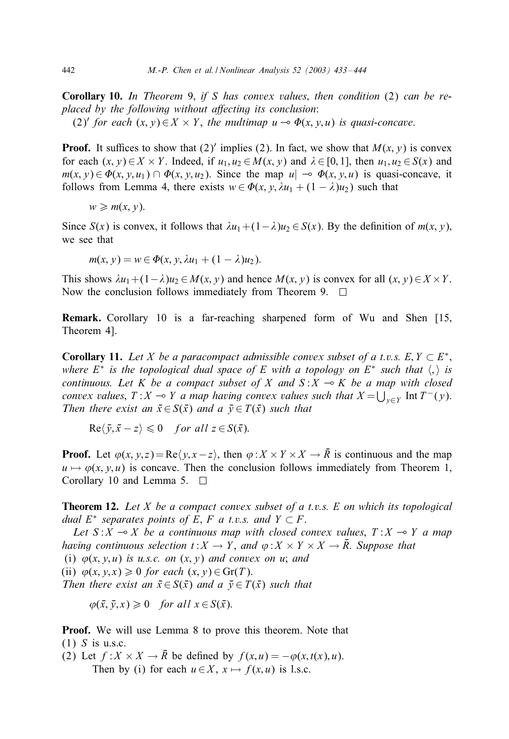Corollary 10. *In Theorem* 9; *if* S *has convex values*; *then condition* (2) *can be replaced bythe following without a7ecting its conclusion*: (2)' *for each*  $(x, y) \in X \times Y$ , *the multimap*  $u \to \Phi(x, y, u)$  *is quasi-concave.* 

**Proof.** It suffices to show that (2)' implies (2). In fact, we show that  $M(x, y)$  is convex for each  $(x, y) \in X \times Y$ . Indeed, if  $u_1, u_2 \in M(x, y)$  and  $\lambda \in [0, 1]$ , then  $u_1, u_2 \in S(x)$  and  $m(x, y) \in \Phi(x, y, u_1) \cap \Phi(x, y, u_2)$ . Since the map  $u \to \Phi(x, y, u)$  is quasi-concave, it follows from Lemma 4, there exists  $w \in \Phi(x, y, \lambda u_1 + (1 - \lambda)u_2)$  such that

$$
w \geq m(x, y).
$$

Since  $S(x)$  is convex, it follows that  $\lambda u_1+(1-\lambda)u_2 \in S(x)$ . By the definition of  $m(x, y)$ , we see that

 $m(x, y) = w \in \Phi(x, y, \lambda u_1 + (1 - \lambda)u_2).$ 

This shows  $\lambda u_1+(1-\lambda)u_2 \in M(x, y)$  and hence  $M(x, y)$  is convex for all  $(x, y) \in X \times Y$ . Now the conclusion follows immediately from Theorem 9.  $\Box$ 

Remark. Corollary 10 is a far-reaching sharpened form of Wu and Shen [15; Theorem 4].

**Corollary 11.** Let X be a paracompact admissible convex subset of a t.v.s. E,  $Y \subset E^*$ , *where*  $E^*$  *is the topological dual space of* E *with a topology on*  $E^*$  *such that*  $\langle , \rangle$  *is continuous. Let* K *be a compact subset of* X *and*  $S: X \rightarrow K$  *be a map with closed convex values*,  $T: X \to Y$  *a map having convex values such that*  $X = \bigcup_{y \in Y} \text{Int } T^-(y)$ . *Then there exist an*  $\bar{x} \in S(\bar{x})$  *and a*  $\bar{y} \in T(\bar{x})$  *such that* 

 $\text{Re}\langle \bar{y}, \bar{x} - z \rangle \leq 0$  for all  $z \in S(\bar{x})$ .

**Proof.** Let  $\varphi(x, y, z) = \text{Re}\langle y, x - z \rangle$ , then  $\varphi: X \times Y \times X \to \overline{R}$  is continuous and the map  $u \mapsto \varphi(x, y, u)$  is concave. Then the conclusion follows immediately from Theorem 1, Corollary 10 and Lemma 5.  $\Box$ 

Theorem 12. *Let* X *be a compact convex subset of a t.v.s.* E *on which its topological dual*  $E^*$  *separates points of*  $E$ ,  $F$  *a t.v.s. and*  $Y \subset F$ .

Let  $S : X \to X$  be a continuous map with closed convex values,  $T : X \to Y$  a map *having continuous selection*  $t: X \to Y$ *, and*  $\varphi: X \times Y \times X \to \overline{R}$ *. Suppose that* (i)  $\varphi(x, y, u)$  *is u.s.c. on*  $(x, y)$  *and convex on u*; *and* (ii)  $\varphi(x, y, x) \geq 0$  *for each*  $(x, y) \in \text{Gr}(T)$ . *Then there exist an*  $\bar{x} \in S(\bar{x})$  *and a*  $\bar{y} \in T(\bar{x})$  *such that* 

 $\varphi(\bar{x}, \bar{y}, x) \geq 0$  *for all*  $x \in S(\bar{x})$ .

Proof. We will use Lemma 8 to prove this theorem. Note that  $(1)$  S is u.s.c.

(2) Let  $f: X \times X \to \overline{R}$  be defined by  $f(x, u) = -\varphi(x, t(x), u)$ . Then by (i) for each  $u \in X$ ,  $x \mapsto f(x, u)$  is l.s.c.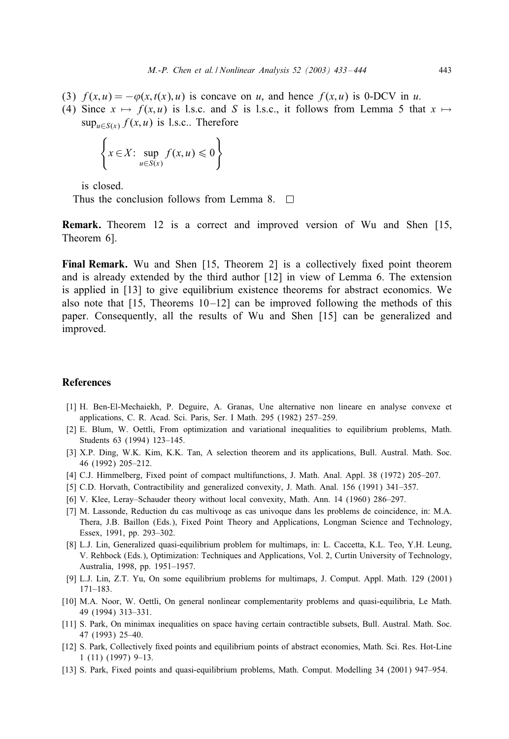- (3)  $f(x, u) = -\varphi(x, t(x), u)$  is concave on u, and hence  $f(x, u)$  is 0-DCV in u.
- (4) Since  $x \mapsto f(x, u)$  is l.s.c. and S is l.s.c., it follows from Lemma 5 that  $x \mapsto$  $\sup_{u \in S(x)} f(x, u)$  is l.s.c.. Therefore

$$
\left\{ x \in X: \sup_{u \in S(x)} f(x, u) \leq 0 \right\}
$$

is closed.

Thus the conclusion follows from Lemma 8.  $\Box$ 

Remark. Theorem 12 is a correct and improved version of Wu and Shen [15; Theorem 6].

Final Remark. Wu and Shen  $[15,$  Theorem 2] is a collectively fixed point theorem and is already extended by the third author [12] in view of Lemma 6. The extension is applied in [13] to give equilibrium existence theorems for abstract economics. We also note that  $[15,$  Theorems  $10-12$  can be improved following the methods of this paper. Consequently; all the results of Wu and Shen [15] can be generalized and improved.

# References

- [1] H. Ben-El-Mechaiekh, P. Deguire, A. Granas, Une alternative non lineare en analyse convexe et applications, C. R. Acad. Sci. Paris, Ser. I Math. 295 (1982) 257–259.
- [2] E. Blum, W. Oettli, From optimization and variational inequalities to equilibrium problems, Math. Students 63 (1994) 123–145.
- [3] X.P. Ding, W.K. Kim, K.K. Tan, A selection theorem and its applications, Bull. Austral. Math. Soc. 46 (1992) 205–212.
- [4] C.J. Himmelberg, Fixed point of compact multifunctions, J. Math. Anal. Appl. 38 (1972) 205–207.
- [5] C.D. Horvath, Contractibility and generalized convexity, J. Math. Anal. 156 (1991) 341–357.
- [6] V. Klee, Leray–Schauder theory without local convexity, Math. Ann. 14 (1960) 286–297.
- [7] M. Lassonde, Reduction du cas multivoqe as cas univoque dans les problems de coincidence, in: M.A. Thera, J.B. Baillon (Eds.), Fixed Point Theory and Applications, Longman Science and Technology, Essex, 1991, pp. 293–302.
- [8] L.J. Lin, Generalized quasi-equilibrium problem for multimaps, in: L. Caccetta, K.L. Teo, Y.H. Leung, V. Rehbock (Eds.), Optimization: Techniques and Applications, Vol. 2, Curtin University of Technology, Australia, 1998, pp. 1951–1957.
- [9] L.J. Lin, Z.T. Yu, On some equilibrium problems for multimaps, J. Comput. Appl. Math. 129 (2001) 171–183.
- [10] M.A. Noor, W. Oettli, On general nonlinear complementarity problems and quasi-equilibria, Le Math. 49 (1994) 313–331.
- [11] S. Park, On minimax inequalities on space having certain contractible subsets, Bull. Austral. Math. Soc. 47 (1993) 25–40.
- [12] S. Park, Collectively fixed points and equilibrium points of abstract economies, Math. Sci. Res. Hot-Line 1 (11) (1997) 9–13.
- [13] S. Park, Fixed points and quasi-equilibrium problems, Math. Comput. Modelling 34 (2001) 947–954.